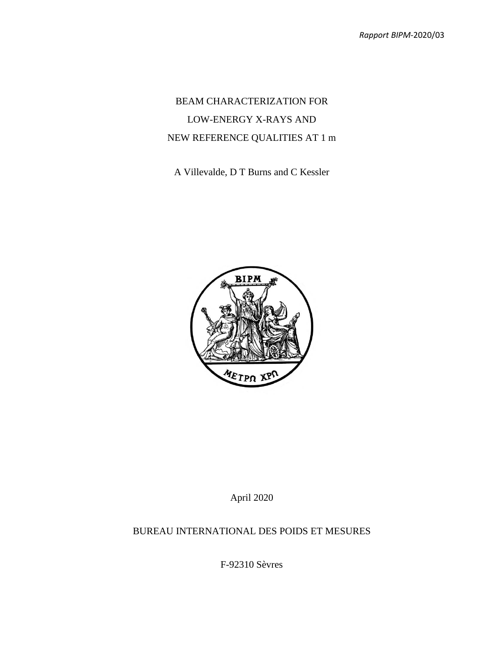# BEAM CHARACTERIZATION FOR LOW-ENERGY X-RAYS AND NEW REFERENCE QUALITIES AT 1 m

A Villevalde, D T Burns and C Kessler



April 2020

## BUREAU INTERNATIONAL DES POIDS ET MESURES

F-92310 Sèvres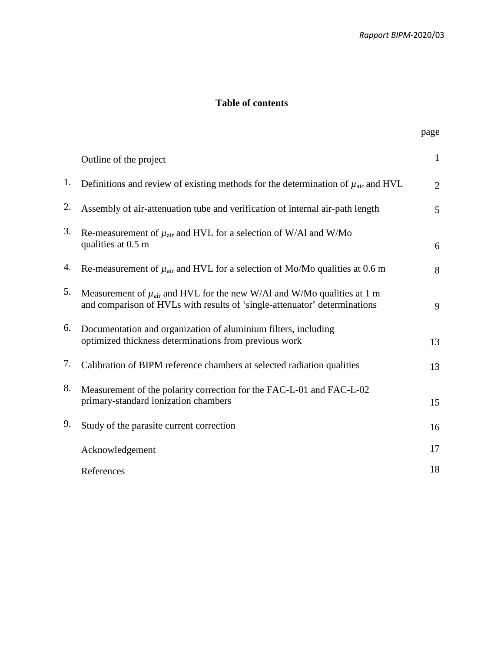page

## **Table of contents**

|    | Outline of the project                                                                                                                                     | $\mathbf{1}$   |
|----|------------------------------------------------------------------------------------------------------------------------------------------------------------|----------------|
| 1. | Definitions and review of existing methods for the determination of $\mu_{\text{air}}$ and HVL                                                             | $\overline{2}$ |
| 2. | Assembly of air-attenuation tube and verification of internal air-path length                                                                              | 5              |
| 3. | Re-measurement of $\mu_{air}$ and HVL for a selection of W/Al and W/Mo<br>qualities at 0.5 m                                                               | 6              |
| 4. | Re-measurement of $\mu_{air}$ and HVL for a selection of Mo/Mo qualities at 0.6 m                                                                          | 8              |
| 5. | Measurement of $\mu_{air}$ and HVL for the new W/Al and W/Mo qualities at 1 m<br>and comparison of HVLs with results of 'single-attenuator' determinations | 9              |
| 6. | Documentation and organization of aluminium filters, including<br>optimized thickness determinations from previous work                                    | 13             |
| 7. | Calibration of BIPM reference chambers at selected radiation qualities                                                                                     | 13             |
| 8. | Measurement of the polarity correction for the FAC-L-01 and FAC-L-02<br>primary-standard ionization chambers                                               | 15             |
| 9. | Study of the parasite current correction                                                                                                                   | 16             |
|    | Acknowledgement                                                                                                                                            | 17             |
|    | References                                                                                                                                                 | 18             |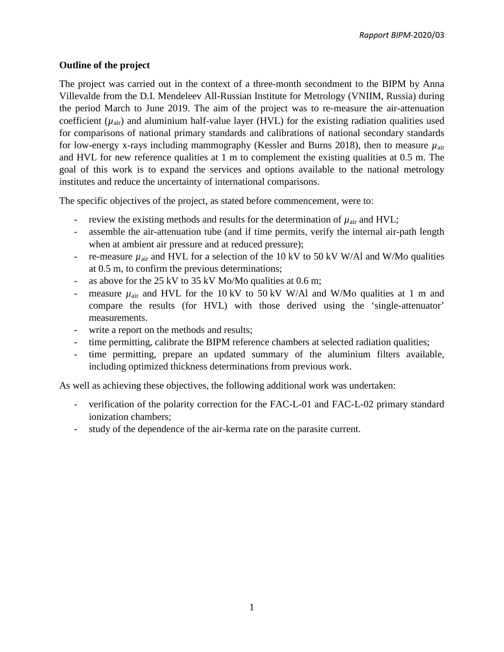## **Outline of the project**

The project was carried out in the context of a three-month secondment to the BIPM by Anna Villevalde from the D.I. Mendeleev All-Russian Institute for Metrology (VNIIM, Russia) during the period March to June 2019. The aim of the project was to re-measure the air-attenuation coefficient  $(\mu_{air})$  and aluminium half-value layer (HVL) for the existing radiation qualities used for comparisons of national primary standards and calibrations of national secondary standards for low-energy x-rays including mammography (Kessler and Burns 2018), then to measure *µ*air and HVL for new reference qualities at 1 m to complement the existing qualities at 0.5 m. The goal of this work is to expand the services and options available to the national metrology institutes and reduce the uncertainty of international comparisons.

The specific objectives of the project, as stated before commencement, were to:

- review the existing methods and results for the determination of  $\mu_{\text{air}}$  and HVL;
- assemble the air-attenuation tube (and if time permits, verify the internal air-path length when at ambient air pressure and at reduced pressure);
- re-measure  $\mu_{air}$  and HVL for a selection of the 10 kV to 50 kV W/Al and W/Mo qualities at 0.5 m, to confirm the previous determinations;
- as above for the  $25 \text{ kV}$  to  $35 \text{ kV}$  Mo/Mo qualities at 0.6 m;
- measure  $\mu_{air}$  and HVL for the 10 kV to 50 kV W/Al and W/Mo qualities at 1 m and compare the results (for HVL) with those derived using the 'single-attenuator' measurements.
- write a report on the methods and results;
- time permitting, calibrate the BIPM reference chambers at selected radiation qualities;
- time permitting, prepare an updated summary of the aluminium filters available, including optimized thickness determinations from previous work.

As well as achieving these objectives, the following additional work was undertaken:

- verification of the polarity correction for the FAC-L-01 and FAC-L-02 primary standard ionization chambers;
- study of the dependence of the air-kerma rate on the parasite current.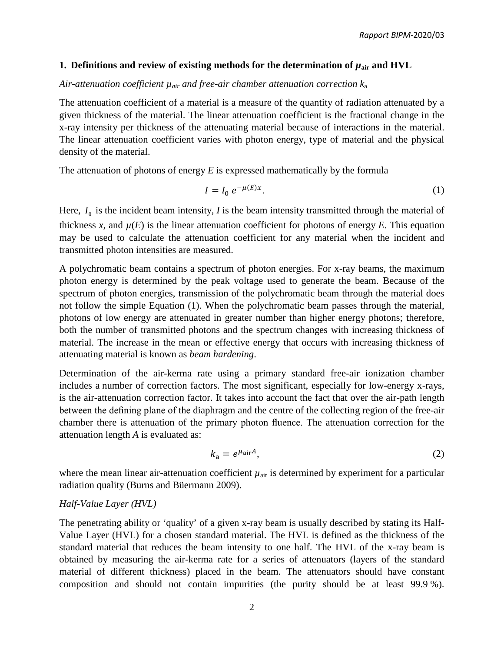#### **1.** Definitions and review of existing methods for the determination of  $\mu_{air}$  and HVL

#### *Air-attenuation coefficient µair and free-air chamber attenuation correction k*<sup>a</sup>

The attenuation coefficient of a material is a measure of the quantity of radiation attenuated by a given thickness of the material. The linear attenuation coefficient is the fractional change in the x-ray intensity per thickness of the attenuating material because of interactions in the material. The linear attenuation coefficient varies with photon energy, type of material and the physical density of the material.

The attenuation of photons of energy *E* is expressed mathematically by the formula

$$
I = I_0 e^{-\mu(E)x}.
$$

Here,  $I_0$  is the incident beam intensity, *I* is the beam intensity transmitted through the material of thickness *x*, and  $\mu(E)$  is the linear attenuation coefficient for photons of energy *E*. This equation may be used to calculate the attenuation coefficient for any material when the incident and transmitted photon intensities are measured.

A polychromatic beam contains a spectrum of photon energies. For x-ray beams, the maximum photon energy is determined by the peak voltage used to generate the beam. Because of the spectrum of photon energies, transmission of the polychromatic beam through the material does not follow the simple Equation (1). When the polychromatic beam passes through the material, photons of low energy are attenuated in greater number than higher energy photons; therefore, both the number of transmitted photons and the spectrum changes with increasing thickness of material. The increase in the mean or effective energy that occurs with increasing thickness of attenuating material is known as *beam hardening*.

Determination of the air-kerma rate using a primary standard free-air ionization chamber includes a number of correction factors. The most significant, especially for low-energy x-rays, is the air-attenuation correction factor. It takes into account the fact that over the air-path length between the defining plane of the diaphragm and the centre of the collecting region of the free-air chamber there is attenuation of the primary photon fluence. The attenuation correction for the attenuation length *A* is evaluated as:

$$
k_{\rm a} = e^{\mu_{\rm air} A},\tag{2}
$$

where the mean linear air-attenuation coefficient  $\mu_{\text{air}}$  is determined by experiment for a particular radiation quality (Burns and Büermann 2009).

## *Half-Value Layer (HVL)*

The penetrating ability or 'quality' of a given x-ray beam is usually described by stating its Half-Value Layer (HVL) for a chosen standard material. The HVL is defined as the thickness of the standard material that reduces the beam intensity to one half. The HVL of the x-ray beam is obtained by measuring the air-kerma rate for a series of attenuators (layers of the standard material of different thickness) placed in the beam. The attenuators should have constant composition and should not contain impurities (the purity should be at least 99.9 %).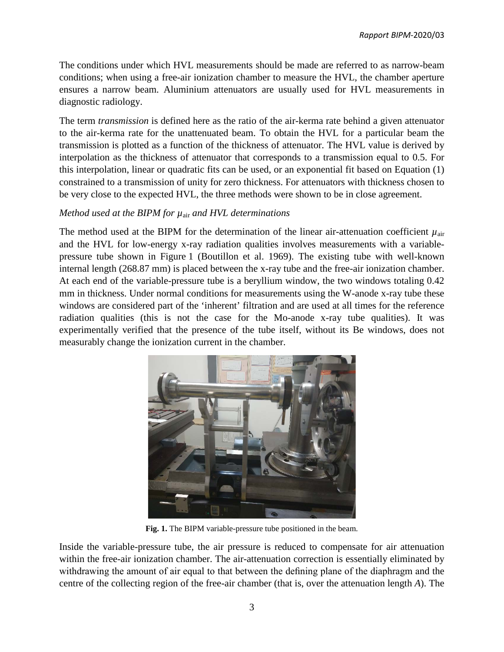The conditions under which HVL measurements should be made are referred to as narrow-beam conditions; when using a free-air ionization chamber to measure the HVL, the chamber aperture ensures a narrow beam. Aluminium attenuators are usually used for HVL measurements in diagnostic radiology.

The term *transmission* is defined here as the ratio of the air-kerma rate behind a given attenuator to the air-kerma rate for the unattenuated beam. To obtain the HVL for a particular beam the transmission is plotted as a function of the thickness of attenuator. The HVL value is derived by interpolation as the thickness of attenuator that corresponds to a transmission equal to 0.5. For this interpolation, linear or quadratic fits can be used, or an exponential fit based on Equation (1) constrained to a transmission of unity for zero thickness. For attenuators with thickness chosen to be very close to the expected HVL, the three methods were shown to be in close agreement.

### *Method used at the BIPM for µ*air *and HVL determinations*

The method used at the BIPM for the determination of the linear air-attenuation coefficient  $\mu_{\text{air}}$ and the HVL for low-energy x-ray radiation qualities involves measurements with a variablepressure tube shown in Figure 1 (Boutillon et al. 1969). The existing tube with well-known internal length (268.87 mm) is placed between the x-ray tube and the free-air ionization chamber. At each end of the variable-pressure tube is a beryllium window, the two windows totaling 0.42 mm in thickness. Under normal conditions for measurements using the W-anode x-ray tube these windows are considered part of the 'inherent' filtration and are used at all times for the reference radiation qualities (this is not the case for the Mo-anode x-ray tube qualities). It was experimentally verified that the presence of the tube itself, without its Be windows, does not measurably change the ionization current in the chamber.



**Fig. 1.** The BIPM variable-pressure tube positioned in the beam.

Inside the variable-pressure tube, the air pressure is reduced to compensate for air attenuation within the free-air ionization chamber. The air-attenuation correction is essentially eliminated by withdrawing the amount of air equal to that between the defining plane of the diaphragm and the centre of the collecting region of the free-air chamber (that is, over the attenuation length *A*). The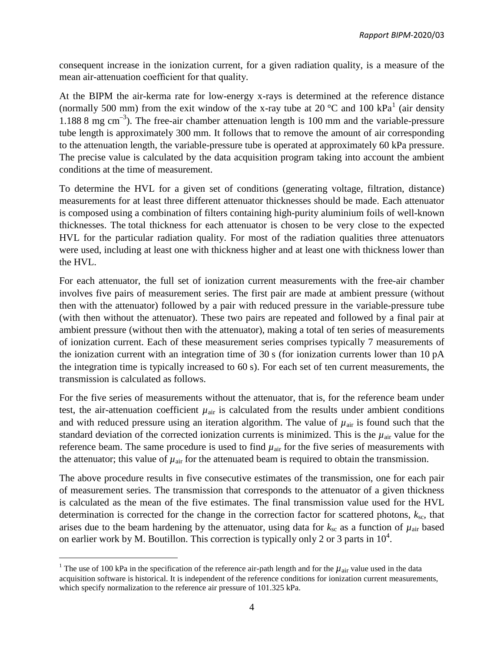consequent increase in the ionization current, for a given radiation quality, is a measure of the mean air-attenuation coefficient for that quality.

At the BIPM the air-kerma rate for low-energy x-rays is determined at the reference distance (normally 500 mm) from the exit window of the x-ray tube at 20  $^{\circ}$ C and [1](#page-5-0)00 kPa<sup>1</sup> (air density 1.188 8 mg  $\text{cm}^{-3}$ ). The free-air chamber attenuation length is 100 mm and the variable-pressure tube length is approximately 300 mm. It follows that to remove the amount of air corresponding to the attenuation length, the variable-pressure tube is operated at approximately 60 kPa pressure. The precise value is calculated by the data acquisition program taking into account the ambient conditions at the time of measurement.

To determine the HVL for a given set of conditions (generating voltage, filtration, distance) measurements for at least three different attenuator thicknesses should be made. Each attenuator is composed using a combination of filters containing high-purity aluminium foils of well-known thicknesses. The total thickness for each attenuator is chosen to be very close to the expected HVL for the particular radiation quality. For most of the radiation qualities three attenuators were used, including at least one with thickness higher and at least one with thickness lower than the HVL.

For each attenuator, the full set of ionization current measurements with the free-air chamber involves five pairs of measurement series. The first pair are made at ambient pressure (without then with the attenuator) followed by a pair with reduced pressure in the variable-pressure tube (with then without the attenuator). These two pairs are repeated and followed by a final pair at ambient pressure (without then with the attenuator), making a total of ten series of measurements of ionization current. Each of these measurement series comprises typically 7 measurements of the ionization current with an integration time of 30 s (for ionization currents lower than 10 pA the integration time is typically increased to 60 s). For each set of ten current measurements, the transmission is calculated as follows.

For the five series of measurements without the attenuator, that is, for the reference beam under test, the air-attenuation coefficient  $\mu_{\text{air}}$  is calculated from the results under ambient conditions and with reduced pressure using an iteration algorithm. The value of  $\mu_{\text{air}}$  is found such that the standard deviation of the corrected ionization currents is minimized. This is the  $\mu_{air}$  value for the reference beam. The same procedure is used to find  $\mu_{air}$  for the five series of measurements with the attenuator; this value of  $\mu_{\text{air}}$  for the attenuated beam is required to obtain the transmission.

The above procedure results in five consecutive estimates of the transmission, one for each pair of measurement series. The transmission that corresponds to the attenuator of a given thickness is calculated as the mean of the five estimates. The final transmission value used for the HVL determination is corrected for the change in the correction factor for scattered photons,  $k_{\rm sc}$ , that arises due to the beam hardening by the attenuator, using data for  $k_{\rm sc}$  as a function of  $\mu_{\rm air}$  based on earlier work by M. Boutillon. This correction is typically only 2 or 3 parts in  $10^4$ .

 $\overline{\phantom{a}}$ 

<span id="page-5-0"></span><sup>&</sup>lt;sup>1</sup> The use of 100 kPa in the specification of the reference air-path length and for the  $\mu_{air}$  value used in the data acquisition software is historical. It is independent of the reference conditions for ionization current measurements, which specify normalization to the reference air pressure of 101.325 kPa.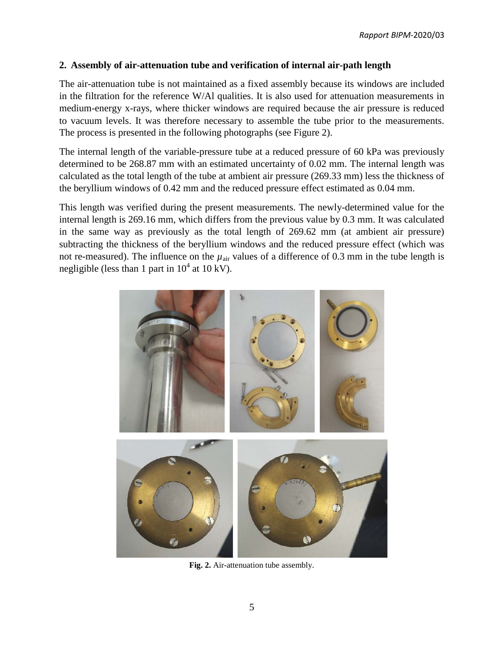### **2. Assembly of air-attenuation tube and verification of internal air-path length**

The air-attenuation tube is not maintained as a fixed assembly because its windows are included in the filtration for the reference W/Al qualities. It is also used for attenuation measurements in medium-energy x-rays, where thicker windows are required because the air pressure is reduced to vacuum levels. It was therefore necessary to assemble the tube prior to the measurements. The process is presented in the following photographs (see Figure 2).

The internal length of the variable-pressure tube at a reduced pressure of 60 kPa was previously determined to be 268.87 mm with an estimated uncertainty of 0.02 mm. The internal length was calculated as the total length of the tube at ambient air pressure (269.33 mm) less the thickness of the beryllium windows of 0.42 mm and the reduced pressure effect estimated as 0.04 mm.

This length was verified during the present measurements. The newly-determined value for the internal length is 269.16 mm, which differs from the previous value by 0.3 mm. It was calculated in the same way as previously as the total length of 269.62 mm (at ambient air pressure) subtracting the thickness of the beryllium windows and the reduced pressure effect (which was not re-measured). The influence on the  $\mu_{air}$  values of a difference of 0.3 mm in the tube length is negligible (less than 1 part in  $10^4$  at 10 kV).



**Fig. 2.** Air-attenuation tube assembly.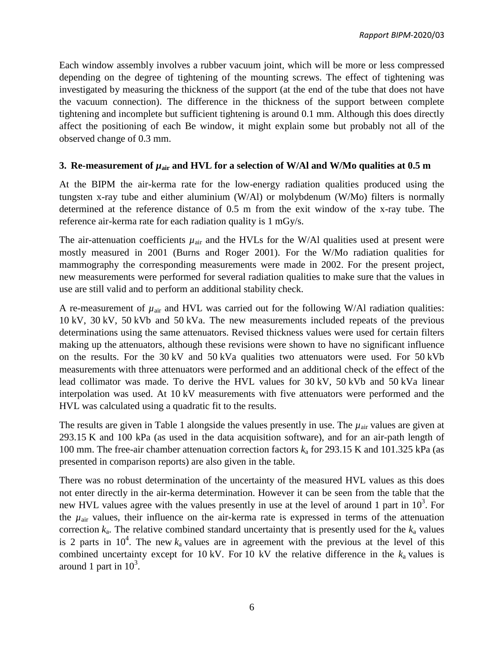Each window assembly involves a rubber vacuum joint, which will be more or less compressed depending on the degree of tightening of the mounting screws. The effect of tightening was investigated by measuring the thickness of the support (at the end of the tube that does not have the vacuum connection). The difference in the thickness of the support between complete tightening and incomplete but sufficient tightening is around 0.1 mm. Although this does directly affect the positioning of each Be window, it might explain some but probably not all of the observed change of 0.3 mm.

## **3.** Re-measurement of  $\mu_{air}$  and HVL for a selection of W/Al and W/Mo qualities at 0.5 m

At the BIPM the air-kerma rate for the low-energy radiation qualities produced using the tungsten x-ray tube and either aluminium (W/Al) or molybdenum (W/Mo) filters is normally determined at the reference distance of 0.5 m from the exit window of the x-ray tube. The reference air-kerma rate for each radiation quality is 1 mGy/s.

The air-attenuation coefficients  $\mu_{\text{air}}$  and the HVLs for the W/Al qualities used at present were mostly measured in 2001 (Burns and Roger 2001). For the W/Mo radiation qualities for mammography the corresponding measurements were made in 2002. For the present project, new measurements were performed for several radiation qualities to make sure that the values in use are still valid and to perform an additional stability check.

A re-measurement of  $\mu_{air}$  and HVL was carried out for the following W/Al radiation qualities: 10 kV, 30 kV, 50 kVb and 50 kVa. The new measurements included repeats of the previous determinations using the same attenuators. Revised thickness values were used for certain filters making up the attenuators, although these revisions were shown to have no significant influence on the results. For the 30 kV and 50 kVa qualities two attenuators were used. For 50 kVb measurements with three attenuators were performed and an additional check of the effect of the lead collimator was made. To derive the HVL values for 30 kV, 50 kVb and 50 kVa linear interpolation was used. At 10 kV measurements with five attenuators were performed and the HVL was calculated using a quadratic fit to the results.

The results are given in Table 1 alongside the values presently in use. The  $\mu_{air}$  values are given at 293.15 K and 100 kPa (as used in the data acquisition software), and for an air-path length of 100 mm. The free-air chamber attenuation correction factors *k*<sup>a</sup> for 293.15 K and 101.325 kPa (as presented in comparison reports) are also given in the table.

There was no robust determination of the uncertainty of the measured HVL values as this does not enter directly in the air-kerma determination. However it can be seen from the table that the new HVL values agree with the values presently in use at the level of around 1 part in  $10<sup>3</sup>$ . For the  $\mu_{\text{air}}$  values, their influence on the air-kerma rate is expressed in terms of the attenuation correction  $k_a$ . The relative combined standard uncertainty that is presently used for the  $k_a$  values is 2 parts in  $10^4$ . The new  $k_a$  values are in agreement with the previous at the level of this combined uncertainty except for 10 kV. For 10 kV the relative difference in the  $k_a$  values is around 1 part in  $10^3$ .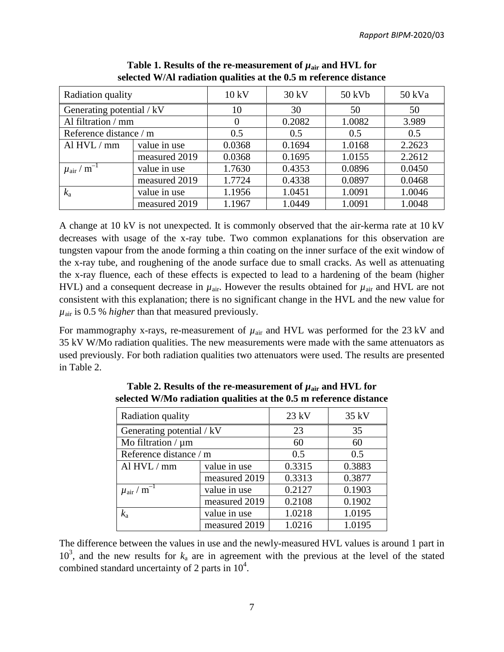| Radiation quality                       |               | 10 kV    | $30 \text{ kV}$ | 50 kVb | 50 kVa |
|-----------------------------------------|---------------|----------|-----------------|--------|--------|
| Generating potential / kV               |               | 10       | 30              | 50     | 50     |
| Al filtration / mm                      |               | $\Omega$ | 0.2082          | 1.0082 | 3.989  |
| Reference distance / m                  |               | 0.5      | 0.5             | 0.5    | 0.5    |
| Al $HVL/mm$                             | value in use  |          | 0.1694          | 1.0168 | 2.2623 |
|                                         | measured 2019 | 0.0368   | 0.1695          | 1.0155 | 2.2612 |
| $\mathbf{m}^{-1}$<br>$\mu_{\text{air}}$ | value in use  | 1.7630   | 0.4353          | 0.0896 | 0.0450 |
| measured 2019                           |               | 1.7724   | 0.4338          | 0.0897 | 0.0468 |
| $k_{\rm a}$                             | value in use  |          | 1.0451          | 1.0091 | 1.0046 |
|                                         | measured 2019 | 1.1967   | 1.0449          | 1.0091 | 1.0048 |

**Table 1. Results of the re-measurement of**  $\mu_{\text{air}}$  **and HVL for selected W/Al radiation qualities at the 0.5 m reference distance**

A change at 10 kV is not unexpected. It is commonly observed that the air-kerma rate at 10 kV decreases with usage of the x-ray tube. Two common explanations for this observation are tungsten vapour from the anode forming a thin coating on the inner surface of the exit window of the x-ray tube, and roughening of the anode surface due to small cracks. As well as attenuating the x-ray fluence, each of these effects is expected to lead to a hardening of the beam (higher HVL) and a consequent decrease in  $\mu_{\text{air}}$ . However the results obtained for  $\mu_{\text{air}}$  and HVL are not consistent with this explanation; there is no significant change in the HVL and the new value for *µ*air is 0.5 % *higher* than that measured previously.

For mammography x-rays, re-measurement of  $\mu_{\text{air}}$  and HVL was performed for the 23 kV and 35 kV W/Mo radiation qualities. The new measurements were made with the same attenuators as used previously. For both radiation qualities two attenuators were used. The results are presented in Table 2.

| <b>Radiation quality</b>               |               | $23$ kV | 35 kV  |
|----------------------------------------|---------------|---------|--------|
| Generating potential / kV              |               | 23      | 35     |
| Mo filtration / $\mu$ m                |               | 60      | 60     |
| Reference distance / m                 |               | 0.5     | 0.5    |
| Al HVL / mm                            | value in use  | 0.3315  | 0.3883 |
|                                        | measured 2019 | 0.3313  | 0.3877 |
| $\mu$ <sub>air</sub> / m <sup>-1</sup> | value in use  | 0.2127  | 0.1903 |
| measured 2019                          |               | 0.2108  | 0.1902 |
| $k_{\rm a}$                            | value in use  |         | 1.0195 |
|                                        | measured 2019 | 1.0216  | 1.0195 |

**Table 2. Results of the re-measurement of**  $\mu_{\text{air}}$  **and HVL for selected W/Mo radiation qualities at the 0.5 m reference distance**

The difference between the values in use and the newly-measured HVL values is around 1 part in  $10<sup>3</sup>$ , and the new results for  $k_a$  are in agreement with the previous at the level of the stated combined standard uncertainty of 2 parts in  $10^4$ .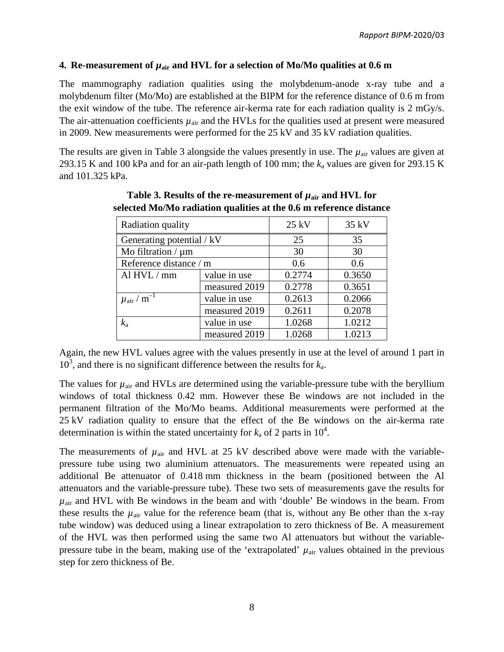#### **4.** Re-measurement of  $\mu_{air}$  and HVL for a selection of Mo/Mo qualities at 0.6 m

The mammography radiation qualities using the molybdenum-anode x-ray tube and a molybdenum filter (Mo/Mo) are established at the BIPM for the reference distance of 0.6 m from the exit window of the tube. The reference air-kerma rate for each radiation quality is 2 mGy/s. The air-attenuation coefficients  $\mu_{\text{air}}$  and the HVLs for the qualities used at present were measured in 2009. New measurements were performed for the 25 kV and 35 kV radiation qualities.

The results are given in Table 3 alongside the values presently in use. The  $\mu_{air}$  values are given at 293.15 K and 100 kPa and for an air-path length of 100 mm; the *k*<sup>a</sup> values are given for 293.15 K and 101.325 kPa.

| Radiation quality                      |               | $25$ kV | 35 kV  |
|----------------------------------------|---------------|---------|--------|
| Generating potential / kV              |               | 25      | 35     |
| Mo filtration / $\mu$ m                |               | 30      | 30     |
| Reference distance / m                 |               | 0.6     | 0.6    |
| Al HVL / mm                            | value in use  | 0.2774  | 0.3650 |
|                                        | measured 2019 | 0.2778  | 0.3651 |
| $\mu$ <sub>air</sub> / m <sup>-1</sup> | value in use  | 0.2613  | 0.2066 |
| measured 2019                          |               | 0.2611  | 0.2078 |
| $k_{\rm a}$                            | value in use  | 1.0268  | 1.0212 |
|                                        | measured 2019 | 1.0268  | 1.0213 |

**Table 3. Results of the re-measurement of**  $\mu_{\text{air}}$  **and HVL for selected Mo/Mo radiation qualities at the 0.6 m reference distance**

Again, the new HVL values agree with the values presently in use at the level of around 1 part in  $10<sup>3</sup>$ , and there is no significant difference between the results for  $k_a$ .

The values for  $\mu_{\text{air}}$  and HVLs are determined using the variable-pressure tube with the beryllium windows of total thickness 0.42 mm. However these Be windows are not included in the permanent filtration of the Mo/Mo beams. Additional measurements were performed at the 25 kV radiation quality to ensure that the effect of the Be windows on the air-kerma rate determination is within the stated uncertainty for  $k_a$  of 2 parts in  $10^4$ .

The measurements of  $\mu_{air}$  and HVL at 25 kV described above were made with the variablepressure tube using two aluminium attenuators. The measurements were repeated using an additional Be attenuator of 0.418 mm thickness in the beam (positioned between the Al attenuators and the variable-pressure tube). These two sets of measurements gave the results for  $\mu_{\text{air}}$  and HVL with Be windows in the beam and with 'double' Be windows in the beam. From these results the  $\mu_{air}$  value for the reference beam (that is, without any Be other than the x-ray tube window) was deduced using a linear extrapolation to zero thickness of Be. A measurement of the HVL was then performed using the same two Al attenuators but without the variablepressure tube in the beam, making use of the 'extrapolated'  $\mu_{\text{air}}$  values obtained in the previous step for zero thickness of Be.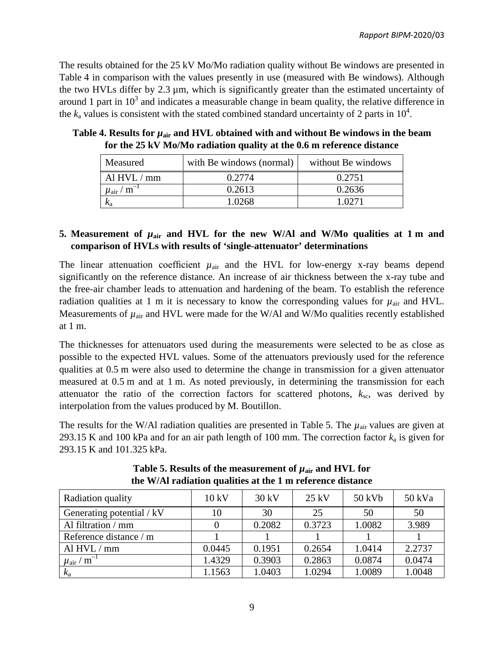The results obtained for the 25 kV Mo/Mo radiation quality without Be windows are presented in Table 4 in comparison with the values presently in use (measured with Be windows). Although the two HVLs differ by 2.3 µm, which is significantly greater than the estimated uncertainty of around 1 part in  $10<sup>3</sup>$  and indicates a measurable change in beam quality, the relative difference in the  $k_a$  values is consistent with the stated combined standard uncertainty of 2 parts in  $10^4$ .

| Measured                               | with Be windows (normal) | without Be windows |
|----------------------------------------|--------------------------|--------------------|
| Al $HVL/mm$                            | 0.2774                   | 0.2751             |
| $\mu$ <sub>air</sub> / m <sup>-1</sup> | 0.2613                   | 0.2636             |
|                                        | 1.0268                   | 1.0271             |

Table 4. Results for  $\mu_{air}$  and HVL obtained with and without Be windows in the beam **for the 25 kV Mo/Mo radiation quality at the 0.6 m reference distance**

## **5.** Measurement of  $\mu_{air}$  and HVL for the new W/Al and W/Mo qualities at 1 m and **comparison of HVLs with results of 'single-attenuator' determinations**

The linear attenuation coefficient  $\mu_{\text{air}}$  and the HVL for low-energy x-ray beams depend significantly on the reference distance. An increase of air thickness between the x-ray tube and the free-air chamber leads to attenuation and hardening of the beam. To establish the reference radiation qualities at 1 m it is necessary to know the corresponding values for  $\mu_{\text{air}}$  and HVL. Measurements of  $\mu_{air}$  and HVL were made for the W/Al and W/Mo qualities recently established at 1 m.

The thicknesses for attenuators used during the measurements were selected to be as close as possible to the expected HVL values. Some of the attenuators previously used for the reference qualities at 0.5 m were also used to determine the change in transmission for a given attenuator measured at 0.5 m and at 1 m. As noted previously, in determining the transmission for each attenuator the ratio of the correction factors for scattered photons,  $k_{\rm sc}$ , was derived by interpolation from the values produced by M. Boutillon.

The results for the W/Al radiation qualities are presented in Table 5. The  $\mu_{air}$  values are given at 293.15 K and 100 kPa and for an air path length of 100 mm. The correction factor *k*<sup>a</sup> is given for 293.15 K and 101.325 kPa.

| Radiation quality                    | 10 kV  | $30 \text{ kV}$ | $25$ kV | 50 kVb | 50 kVa |
|--------------------------------------|--------|-----------------|---------|--------|--------|
| Generating potential / kV            | 10     | 30              | 25      | 50     | 50     |
| Al filtration / mm                   |        | 0.2082          | 0.3723  | 1.0082 | 3.989  |
| Reference distance / m               |        |                 |         |        |        |
| Al $HVL/mm$                          | 0.0445 | 0.1951          | 0.2654  | 1.0414 | 2.2737 |
| $\mu_{\text{air}}$ / $\text{m}^{-1}$ | 1.4329 | 0.3903          | 0.2863  | 0.0874 | 0.0474 |
| $k_a$                                | 1.1563 | 1.0403          | 1.0294  | 1.0089 | 1.0048 |

**Table 5. Results of the measurement of**  $\mu_{\text{air}}$  **and HVL for the W/Al radiation qualities at the 1 m reference distance**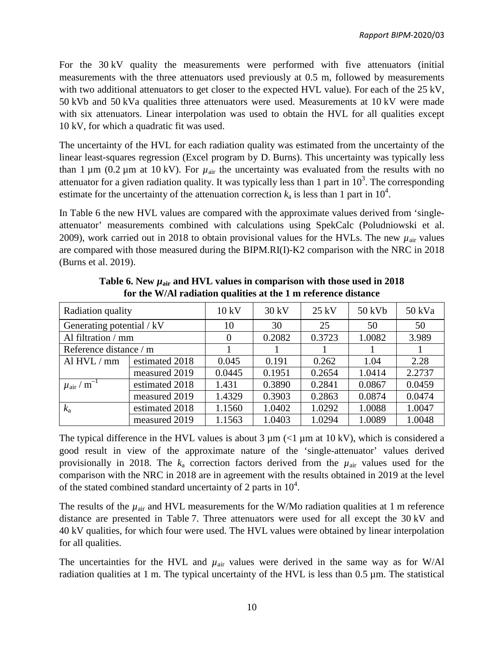For the 30 kV quality the measurements were performed with five attenuators (initial measurements with the three attenuators used previously at 0.5 m, followed by measurements with two additional attenuators to get closer to the expected HVL value). For each of the 25 kV, 50 kVb and 50 kVa qualities three attenuators were used. Measurements at 10 kV were made with six attenuators. Linear interpolation was used to obtain the HVL for all qualities except 10 kV, for which a quadratic fit was used.

The uncertainty of the HVL for each radiation quality was estimated from the uncertainty of the linear least-squares regression (Excel program by D. Burns). This uncertainty was typically less than 1  $\mu$ m (0.2  $\mu$ m at 10 kV). For  $\mu$ <sub>air</sub> the uncertainty was evaluated from the results with no attenuator for a given radiation quality. It was typically less than 1 part in  $10^3$ . The corresponding estimate for the uncertainty of the attenuation correction  $k_a$  is less than 1 part in  $10^4$ .

In Table 6 the new HVL values are compared with the approximate values derived from 'singleattenuator' measurements combined with calculations using SpekCalc (Poludniowski et al. 2009), work carried out in 2018 to obtain provisional values for the HVLs. The new  $\mu_{air}$  values are compared with those measured during the BIPM.RI(I)-K2 comparison with the NRC in 2018 (Burns et al. 2019).

| Radiation quality                        |                | 10 kV          | $30 \text{ kV}$ | $25$ kV | $50$ kVb | 50 kVa |
|------------------------------------------|----------------|----------------|-----------------|---------|----------|--------|
| Generating potential / kV                |                | 10             | 30              | 25      | 50       | 50     |
| Al filtration / mm                       |                | $\overline{0}$ | 0.2082          | 0.3723  | 1.0082   | 3.989  |
| Reference distance / m                   |                |                |                 |         |          |        |
| Al $HVL/mm$                              | estimated 2018 | 0.045          | 0.191           | 0.262   | 1.04     | 2.28   |
|                                          | measured 2019  | 0.0445         | 0.1951          | 0.2654  | 1.0414   | 2.2737 |
| $\mu_{\textrm{air}}$ / $\textrm{m}^{-1}$ | estimated 2018 | 1.431          | 0.3890          | 0.2841  | 0.0867   | 0.0459 |
|                                          | measured 2019  | 1.4329         | 0.3903          | 0.2863  | 0.0874   | 0.0474 |
| $k_{\rm a}$                              | estimated 2018 | 1.1560         | 1.0402          | 1.0292  | 1.0088   | 1.0047 |
|                                          | measured 2019  | 1.1563         | 1.0403          | 1.0294  | 1.0089   | 1.0048 |

Table 6. New  $\mu_{air}$  and HVL values in comparison with those used in 2018 **for the W/Al radiation qualities at the 1 m reference distance**

The typical difference in the HVL values is about  $3 \mu m$  (<1  $\mu$ m at 10 kV), which is considered a good result in view of the approximate nature of the 'single-attenuator' values derived provisionally in 2018. The  $k_a$  correction factors derived from the  $\mu_{air}$  values used for the comparison with the NRC in 2018 are in agreement with the results obtained in 2019 at the level of the stated combined standard uncertainty of 2 parts in  $10^4$ .

The results of the  $\mu_{air}$  and HVL measurements for the W/Mo radiation qualities at 1 m reference distance are presented in Table 7. Three attenuators were used for all except the 30 kV and 40 kV qualities, for which four were used. The HVL values were obtained by linear interpolation for all qualities.

The uncertainties for the HVL and  $\mu_{air}$  values were derived in the same way as for W/Al radiation qualities at 1 m. The typical uncertainty of the HVL is less than  $0.5 \mu m$ . The statistical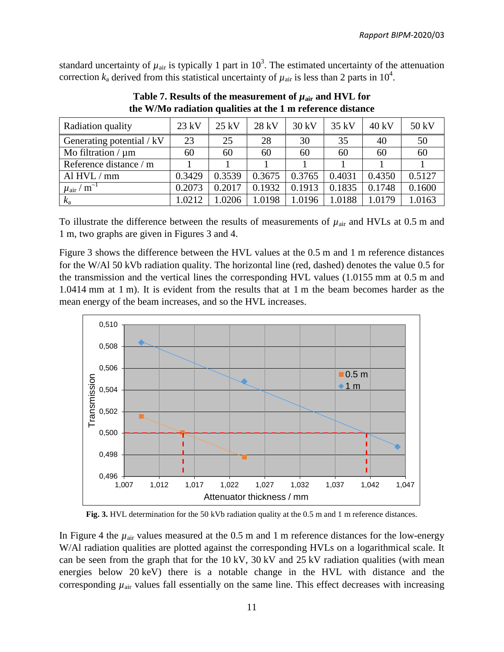standard uncertainty of  $\mu_{air}$  is typically 1 part in  $10^3$ . The estimated uncertainty of the attenuation correction  $k_a$  derived from this statistical uncertainty of  $\mu_{air}$  is less than 2 parts in 10<sup>4</sup>.

| Radiation quality                   | $23$ kV | $25$ kV | 28 kV  | 30 kV  | $35$ kV | $40 \text{ kV}$ | 50 kV  |
|-------------------------------------|---------|---------|--------|--------|---------|-----------------|--------|
| Generating potential / kV           | 23      | 25      | 28     | 30     | 35      | 40              | 50     |
| Mo filtration $/\mu$ m              | 60      | 60      | 60     | 60     | 60      | 60              | 60     |
| Reference distance / m              |         |         |        |        |         |                 |        |
| Al $HVL/mm$                         | 0.3429  | 0.3539  | 0.3675 | 0.3765 | 0.4031  | 0.4350          | 0.5127 |
| $/m^{-1}$<br>$\mu$ <sub>air</sub> / | 0.2073  | 0.2017  | 0.1932 | 0.1913 | 0.1835  | 0.1748          | 0.1600 |
| $k_{\rm a}$                         | 1.0212  | 1.0206  | 1.0198 | 1.0196 | 1.0188  | 1.0179          | 1.0163 |

**Table 7. Results of the measurement of**  $\mu_{\text{air}}$  **and HVL for the W/Mo radiation qualities at the 1 m reference distance**

To illustrate the difference between the results of measurements of  $\mu_{\text{air}}$  and HVLs at 0.5 m and 1 m, two graphs are given in Figures 3 and 4.

Figure 3 shows the difference between the HVL values at the 0.5 m and 1 m reference distances for the W/Al 50 kVb radiation quality. The horizontal line (red, dashed) denotes the value 0.5 for the transmission and the vertical lines the corresponding HVL values (1.0155 mm at 0.5 m and 1.0414 mm at 1 m). It is evident from the results that at 1 m the beam becomes harder as the mean energy of the beam increases, and so the HVL increases.



**Fig. 3.** HVL determination for the 50 kVb radiation quality at the 0.5 m and 1 m reference distances.

In Figure 4 the  $\mu_{air}$  values measured at the 0.5 m and 1 m reference distances for the low-energy W/Al radiation qualities are plotted against the corresponding HVLs on a logarithmical scale. It can be seen from the graph that for the 10 kV, 30 kV and 25 kV radiation qualities (with mean energies below 20 keV) there is a notable change in the HVL with distance and the corresponding  $\mu_{\text{air}}$  values fall essentially on the same line. This effect decreases with increasing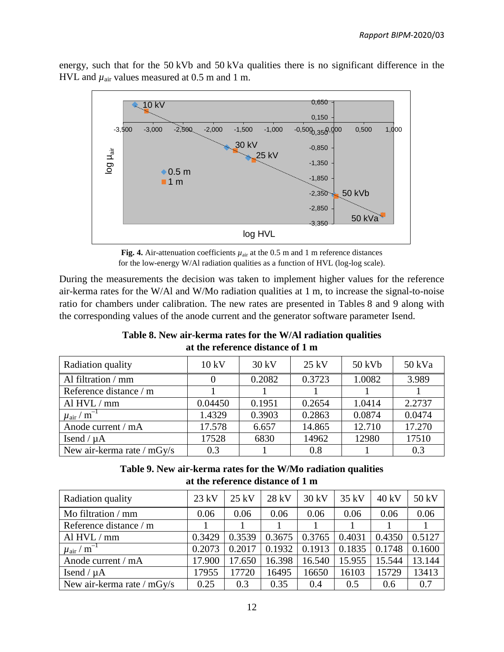energy, such that for the 50 kVb and 50 kVa qualities there is no significant difference in the HVL and  $\mu_{air}$  values measured at 0.5 m and 1 m.



**Fig. 4.** Air-attenuation coefficients  $\mu_{air}$  at the 0.5 m and 1 m reference distances for the low-energy W/Al radiation qualities as a function of HVL (log-log scale).

During the measurements the decision was taken to implement higher values for the reference air-kerma rates for the W/Al and W/Mo radiation qualities at 1 m, to increase the signal-to-noise ratio for chambers under calibration. The new rates are presented in Tables 8 and 9 along with the corresponding values of the anode current and the generator software parameter Isend.

## **Table 8. New air-kerma rates for the W/Al radiation qualities at the reference distance of 1 m**

| Radiation quality                      | 10 kV   | 30 kV  | $25 \text{ kV}$ | 50 kVb | 50 kVa |
|----------------------------------------|---------|--------|-----------------|--------|--------|
| Al filtration / mm                     |         | 0.2082 | 0.3723          | 1.0082 | 3.989  |
| Reference distance / m                 |         |        |                 |        |        |
| Al $HVL/mm$                            | 0.04450 | 0.1951 | 0.2654          | 1.0414 | 2.2737 |
| $\mu$ <sub>air</sub> / m <sup>-1</sup> | 1.4329  | 0.3903 | 0.2863          | 0.0874 | 0.0474 |
| Anode current / mA                     | 17.578  | 6.657  | 14.865          | 12.710 | 17.270 |
| Isend / $\mu$ A                        | 17528   | 6830   | 14962           | 12980  | 17510  |
| New air-kerma rate / mGy/s             | 0.3     |        | 0.8             |        | 0.3    |

## **Table 9. New air-kerma rates for the W/Mo radiation qualities at the reference distance of 1 m**

| Radiation quality              | $23$ kV | $25$ kV | 28 kV  | 30 kV  | $35$ kV | 40 kV  | 50 kV  |
|--------------------------------|---------|---------|--------|--------|---------|--------|--------|
| Mo filtration / mm             | 0.06    | 0.06    | 0.06   | 0.06   | 0.06    | 0.06   | 0.06   |
| Reference distance / m         |         |         |        |        |         |        |        |
| Al HVL / mm                    | 0.3429  | 0.3539  | 0.3675 | 0.3765 | 0.4031  | 0.4350 | 0.5127 |
| $\mu_{\rm air}$ / $\rm m^{-1}$ | 0.2073  | 0.2017  | 0.1932 | 0.1913 | 0.1835  | 0.1748 | 0.1600 |
| Anode current / mA             | 17.900  | 17.650  | 16.398 | 16.540 | 15.955  | 15.544 | 13.144 |
| Isend / $\mu$ A                | 17955   | 17720   | 16495  | 16650  | 16103   | 15729  | 13413  |
| New air-kerma rate / mGy/s     | 0.25    | 0.3     | 0.35   | 0.4    | 0.5     | 0.6    | 0.7    |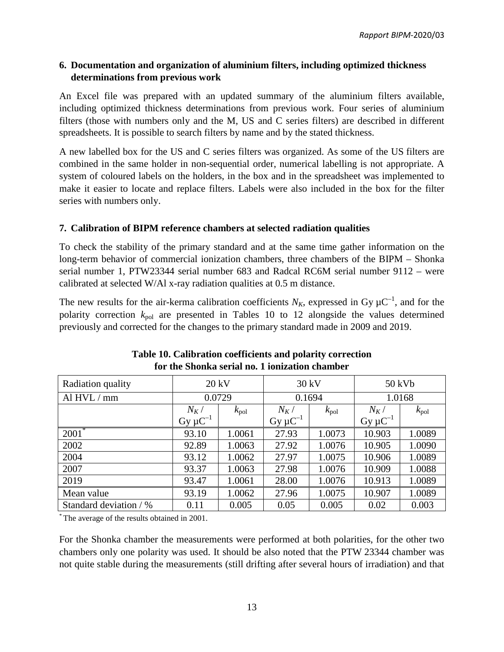## **6. Documentation and organization of aluminium filters, including optimized thickness determinations from previous work**

An Excel file was prepared with an updated summary of the aluminium filters available, including optimized thickness determinations from previous work. Four series of aluminium filters (those with numbers only and the M, US and C series filters) are described in different spreadsheets. It is possible to search filters by name and by the stated thickness.

A new labelled box for the US and C series filters was organized. As some of the US filters are combined in the same holder in non-sequential order, numerical labelling is not appropriate. A system of coloured labels on the holders, in the box and in the spreadsheet was implemented to make it easier to locate and replace filters. Labels were also included in the box for the filter series with numbers only.

## **7. Calibration of BIPM reference chambers at selected radiation qualities**

To check the stability of the primary standard and at the same time gather information on the long-term behavior of commercial ionization chambers, three chambers of the BIPM – Shonka serial number 1, PTW23344 serial number 683 and Radcal RC6M serial number 9112 – were calibrated at selected W/Al x-ray radiation qualities at 0.5 m distance.

The new results for the air-kerma calibration coefficients  $N_K$ , expressed in Gy  $\mu$ C<sup>-1</sup>, and for the polarity correction  $k_{pol}$  are presented in Tables 10 to 12 alongside the values determined previously and corrected for the changes to the primary standard made in 2009 and 2019.

| Radiation quality                       |                 | 20 kV                   | 30 kV           |               | 50 kVb          |               |  |
|-----------------------------------------|-----------------|-------------------------|-----------------|---------------|-----------------|---------------|--|
| Al $HVL/$<br>mm                         | 0.0729          |                         |                 | 0.1694        |                 | 1.0168        |  |
|                                         | $N_K/$          | $N_K/$<br>$k_{\rm pol}$ |                 | $k_{\rm pol}$ | $N_K/$          | $k_{\rm pol}$ |  |
|                                         | $Gy \mu C^{-1}$ |                         | $Gy \mu C^{-1}$ |               | $Gy \mu C^{-1}$ |               |  |
| $2001$ <sup>*</sup>                     | 93.10           | 1.0061                  | 27.93           | 1.0073        | 10.903          | 1.0089        |  |
| 2002                                    | 92.89           | 1.0063                  | 27.92           | 1.0076        | 10.905          | 1.0090        |  |
| 2004                                    | 93.12           | 1.0062                  | 27.97           | 1.0075        | 10.906          | 1.0089        |  |
| 2007                                    | 93.37           | 1.0063                  | 27.98           | 1.0076        | 10.909          | 1.0088        |  |
| 2019                                    | 93.47           | 1.0061                  | 28.00           | 1.0076        | 10.913          | 1.0089        |  |
| Mean value                              | 93.19           | 1.0062                  | 27.96           | 1.0075        | 10.907          | 1.0089        |  |
| Standard deviation / %<br>0.005<br>0.11 |                 | 0.05                    | 0.005           | 0.02          | 0.003           |               |  |

| Table 10. Calibration coefficients and polarity correction |
|------------------------------------------------------------|
| for the Shonka serial no. 1 ionization chamber             |

\* The average of the results obtained in 2001.

For the Shonka chamber the measurements were performed at both polarities, for the other two chambers only one polarity was used. It should be also noted that the PTW 23344 chamber was not quite stable during the measurements (still drifting after several hours of irradiation) and that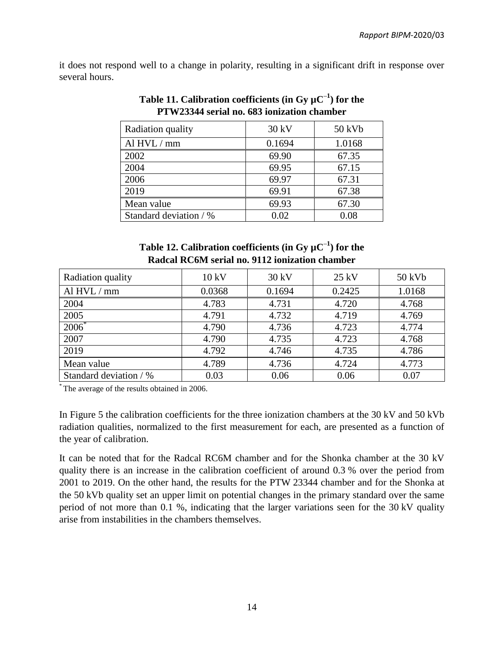it does not respond well to a change in polarity, resulting in a significant drift in response over several hours.

| Radiation quality      | 30 kV  | 50 kVb |
|------------------------|--------|--------|
| Al $HVL/mm$            | 0.1694 | 1.0168 |
| 2002                   | 69.90  | 67.35  |
| 2004                   | 69.95  | 67.15  |
| 2006                   | 69.97  | 67.31  |
| 2019                   | 69.91  | 67.38  |
| Mean value             | 69.93  | 67.30  |
| Standard deviation / % | 0.02   | 0.08   |

**Table 11. Calibration coefficients (in Gy µC**–**<sup>1</sup> ) for the PTW23344 serial no. 683 ionization chamber**

| Table 12. Calibration coefficients (in Gy $\mu$ C <sup>-1</sup> ) for the |  |  |  |  |
|---------------------------------------------------------------------------|--|--|--|--|
| Radcal RC6M serial no. 9112 ionization chamber                            |  |  |  |  |

| Radiation quality      | 10 kV  | 30 kV  | 25 kV  | 50 kVb |
|------------------------|--------|--------|--------|--------|
| Al $HVL/mm$            | 0.0368 | 0.1694 | 0.2425 | 1.0168 |
| 2004                   | 4.783  | 4.731  | 4.720  | 4.768  |
| 2005                   | 4.791  | 4.732  | 4.719  | 4.769  |
| $2006^*$               | 4.790  | 4.736  | 4.723  | 4.774  |
| 2007                   | 4.790  | 4.735  | 4.723  | 4.768  |
| 2019                   | 4.792  | 4.746  | 4.735  | 4.786  |
| Mean value             | 4.789  | 4.736  | 4.724  | 4.773  |
| Standard deviation / % | 0.03   | 0.06   | 0.06   | 0.07   |

\* The average of the results obtained in 2006.

In Figure 5 the calibration coefficients for the three ionization chambers at the 30 kV and 50 kVb radiation qualities, normalized to the first measurement for each, are presented as a function of the year of calibration.

It can be noted that for the Radcal RC6M chamber and for the Shonka chamber at the 30 kV quality there is an increase in the calibration coefficient of around 0.3 % over the period from 2001 to 2019. On the other hand, the results for the PTW 23344 chamber and for the Shonka at the 50 kVb quality set an upper limit on potential changes in the primary standard over the same period of not more than 0.1 %, indicating that the larger variations seen for the 30 kV quality arise from instabilities in the chambers themselves.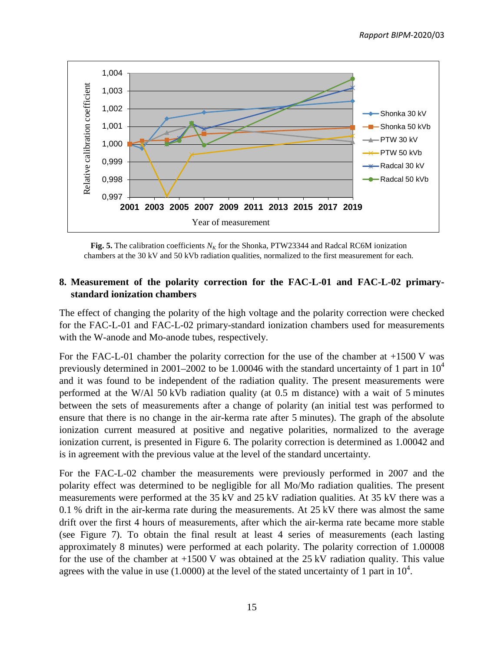

**Fig. 5.** The calibration coefficients  $N_k$  for the Shonka, PTW23344 and Radcal RC6M ionization chambers at the 30 kV and 50 kVb radiation qualities, normalized to the first measurement for each.

## **8. Measurement of the polarity correction for the FAC-L-01 and FAC-L-02 primarystandard ionization chambers**

The effect of changing the polarity of the high voltage and the polarity correction were checked for the FAC-L-01 and FAC-L-02 primary-standard ionization chambers used for measurements with the W-anode and Mo-anode tubes, respectively.

For the FAC-L-01 chamber the polarity correction for the use of the chamber at +1500 V was previously determined in 2001–2002 to be 1.00046 with the standard uncertainty of 1 part in  $10^4$ and it was found to be independent of the radiation quality. The present measurements were performed at the W/Al 50 kVb radiation quality (at 0.5 m distance) with a wait of 5 minutes between the sets of measurements after a change of polarity (an initial test was performed to ensure that there is no change in the air-kerma rate after 5 minutes). The graph of the absolute ionization current measured at positive and negative polarities, normalized to the average ionization current, is presented in Figure 6. The polarity correction is determined as 1.00042 and is in agreement with the previous value at the level of the standard uncertainty.

For the FAC-L-02 chamber the measurements were previously performed in 2007 and the polarity effect was determined to be negligible for all Mo/Mo radiation qualities. The present measurements were performed at the 35 kV and 25 kV radiation qualities. At 35 kV there was a 0.1 % drift in the air-kerma rate during the measurements. At 25 kV there was almost the same drift over the first 4 hours of measurements, after which the air-kerma rate became more stable (see Figure 7). To obtain the final result at least 4 series of measurements (each lasting approximately 8 minutes) were performed at each polarity. The polarity correction of 1.00008 for the use of the chamber at  $+1500$  V was obtained at the 25 kV radiation quality. This value agrees with the value in use (1.0000) at the level of the stated uncertainty of 1 part in  $10^4$ .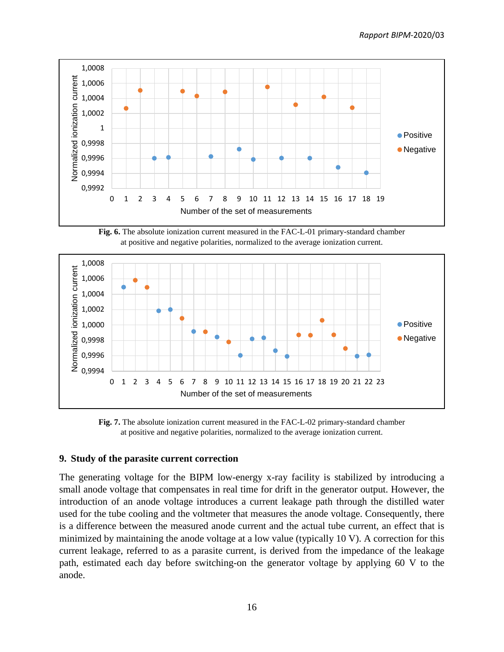

**Fig. 6.** The absolute ionization current measured in the FAC-L-01 primary-standard chamber at positive and negative polarities, normalized to the average ionization current.



**Fig. 7.** The absolute ionization current measured in the FAC-L-02 primary-standard chamber at positive and negative polarities, normalized to the average ionization current.

#### **9. Study of the parasite current correction**

The generating voltage for the BIPM low-energy x-ray facility is stabilized by introducing a small anode voltage that compensates in real time for drift in the generator output. However, the introduction of an anode voltage introduces a current leakage path through the distilled water used for the tube cooling and the voltmeter that measures the anode voltage. Consequently, there is a difference between the measured anode current and the actual tube current, an effect that is minimized by maintaining the anode voltage at a low value (typically 10 V). A correction for this current leakage, referred to as a parasite current, is derived from the impedance of the leakage path, estimated each day before switching-on the generator voltage by applying 60 V to the anode.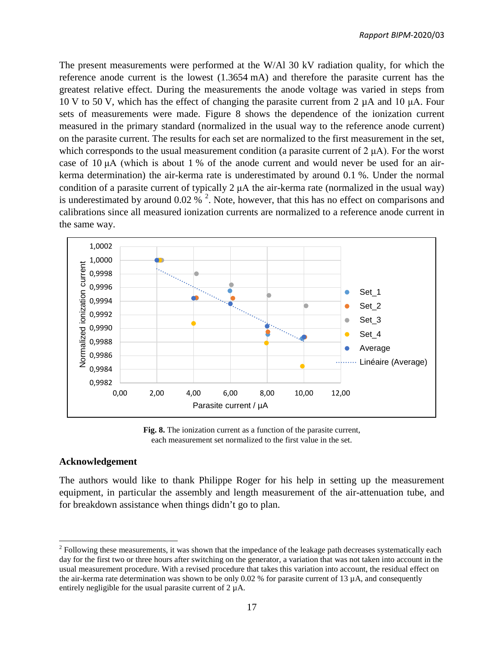The present measurements were performed at the W/Al 30 kV radiation quality, for which the reference anode current is the lowest (1.3654 mA) and therefore the parasite current has the greatest relative effect. During the measurements the anode voltage was varied in steps from 10 V to 50 V, which has the effect of changing the parasite current from 2 µA and 10 μA. Four sets of measurements were made. Figure 8 shows the dependence of the ionization current measured in the primary standard (normalized in the usual way to the reference anode current) on the parasite current. The results for each set are normalized to the first measurement in the set, which corresponds to the usual measurement condition (a parasite current of  $2 \mu A$ ). For the worst case of 10 μA (which is about 1 % of the anode current and would never be used for an airkerma determination) the air-kerma rate is underestimated by around 0.1 %. Under the normal condition of a parasite current of typically 2 μA the air-kerma rate (normalized in the usual way) is underestimated by around 0.0[2](#page-18-0) %  $^2$ . Note, however, that this has no effect on comparisons and calibrations since all measured ionization currents are normalized to a reference anode current in the same way.



**Fig. 8.** The ionization current as a function of the parasite current, each measurement set normalized to the first value in the set.

#### **Acknowledgement**

The authors would like to thank Philippe Roger for his help in setting up the measurement equipment, in particular the assembly and length measurement of the air-attenuation tube, and for breakdown assistance when things didn't go to plan.

<span id="page-18-0"></span> $2$  Following these measurements, it was shown that the impedance of the leakage path decreases systematically each day for the first two or three hours after switching on the generator, a variation that was not taken into account in the usual measurement procedure. With a revised procedure that takes this variation into account, the residual effect on the air-kerma rate determination was shown to be only 0.02 % for parasite current of 13  $\mu$ A, and consequently entirely negligible for the usual parasite current of 2 µA.